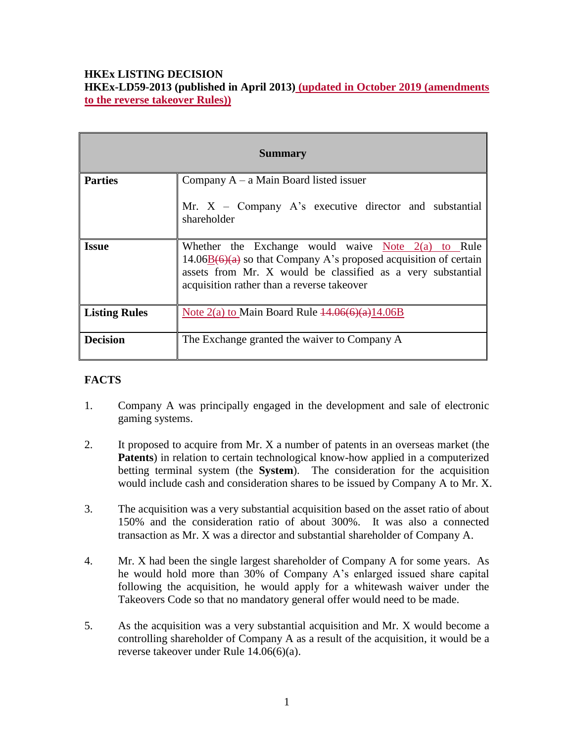# **HKEx LISTING DECISION HKEx-LD59-2013 (published in April 2013) (updated in October 2019 (amendments to the reverse takeover Rules))**

| <b>Summary</b>       |                                                                                                                                                                                                                                         |
|----------------------|-----------------------------------------------------------------------------------------------------------------------------------------------------------------------------------------------------------------------------------------|
| <b>Parties</b>       | Company $A - a$ Main Board listed issuer                                                                                                                                                                                                |
|                      | Mr. $X$ – Company A's executive director and substantial<br>shareholder                                                                                                                                                                 |
| <b>Issue</b>         | Whether the Exchange would waive Note $2(a)$ to Rule<br>$14.06B(6)(a)$ so that Company A's proposed acquisition of certain<br>assets from Mr. X would be classified as a very substantial<br>acquisition rather than a reverse takeover |
| <b>Listing Rules</b> | Note $2(a)$ to Main Board Rule $14.06(6)(a)14.06B$                                                                                                                                                                                      |
| <b>Decision</b>      | The Exchange granted the waiver to Company A                                                                                                                                                                                            |

## **FACTS**

- 1. Company A was principally engaged in the development and sale of electronic gaming systems.
- 2. It proposed to acquire from Mr. X a number of patents in an overseas market (the **Patents**) in relation to certain technological know-how applied in a computerized betting terminal system (the **System**). The consideration for the acquisition would include cash and consideration shares to be issued by Company A to Mr. X.
- 3. The acquisition was a very substantial acquisition based on the asset ratio of about 150% and the consideration ratio of about 300%. It was also a connected transaction as Mr. X was a director and substantial shareholder of Company A.
- 4. Mr. X had been the single largest shareholder of Company A for some years. As he would hold more than 30% of Company A's enlarged issued share capital following the acquisition, he would apply for a whitewash waiver under the Takeovers Code so that no mandatory general offer would need to be made.
- 5. As the acquisition was a very substantial acquisition and Mr. X would become a controlling shareholder of Company A as a result of the acquisition, it would be a reverse takeover under Rule 14.06(6)(a).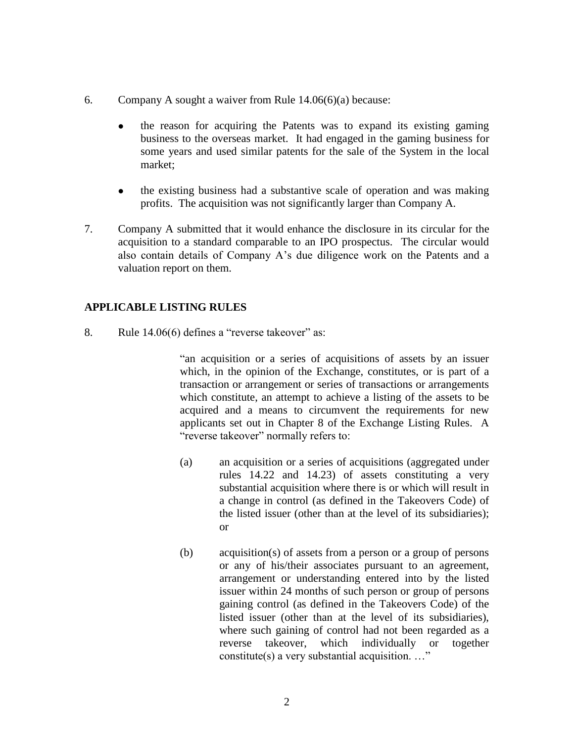- 6. Company A sought a waiver from Rule 14.06(6)(a) because:
	- the reason for acquiring the Patents was to expand its existing gaming business to the overseas market. It had engaged in the gaming business for some years and used similar patents for the sale of the System in the local market;
	- the existing business had a substantive scale of operation and was making profits. The acquisition was not significantly larger than Company A.
- 7. Company A submitted that it would enhance the disclosure in its circular for the acquisition to a standard comparable to an IPO prospectus. The circular would also contain details of Company A's due diligence work on the Patents and a valuation report on them.

#### **APPLICABLE LISTING RULES**

8. Rule 14.06(6) defines a "reverse takeover" as:

"an acquisition or a series of acquisitions of assets by an issuer which, in the opinion of the Exchange, constitutes, or is part of a transaction or arrangement or series of transactions or arrangements which constitute, an attempt to achieve a listing of the assets to be acquired and a means to circumvent the requirements for new applicants set out in Chapter 8 of the Exchange Listing Rules. A "reverse takeover" normally refers to:

- (a) an acquisition or a series of acquisitions (aggregated under rules 14.22 and 14.23) of assets constituting a very substantial acquisition where there is or which will result in a change in control (as defined in the Takeovers Code) of the listed issuer (other than at the level of its subsidiaries); or
- (b) acquisition(s) of assets from a person or a group of persons or any of his/their associates pursuant to an agreement, arrangement or understanding entered into by the listed issuer within 24 months of such person or group of persons gaining control (as defined in the Takeovers Code) of the listed issuer (other than at the level of its subsidiaries), where such gaining of control had not been regarded as a reverse takeover, which individually or together constitute(s) a very substantial acquisition. …"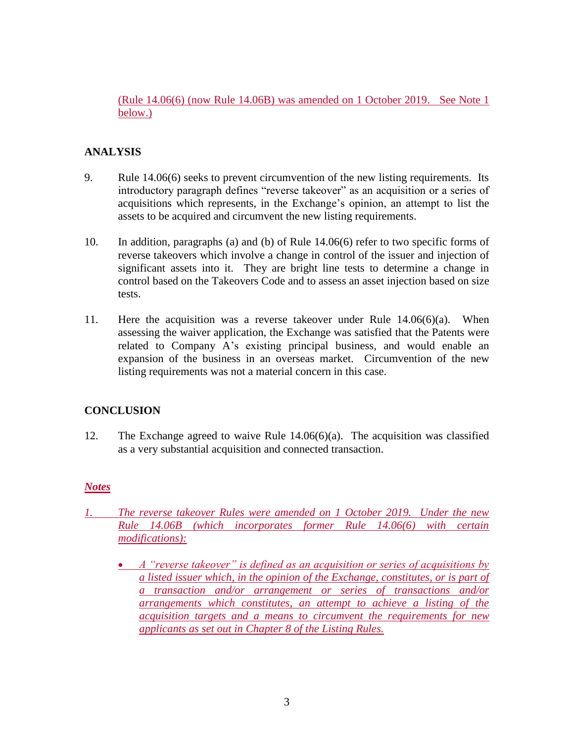(Rule 14.06(6) (now Rule 14.06B) was amended on 1 October 2019. See Note 1 below.)

# **ANALYSIS**

- 9. Rule 14.06(6) seeks to prevent circumvention of the new listing requirements. Its introductory paragraph defines "reverse takeover" as an acquisition or a series of acquisitions which represents, in the Exchange's opinion, an attempt to list the assets to be acquired and circumvent the new listing requirements.
- 10. In addition, paragraphs (a) and (b) of Rule 14.06(6) refer to two specific forms of reverse takeovers which involve a change in control of the issuer and injection of significant assets into it. They are bright line tests to determine a change in control based on the Takeovers Code and to assess an asset injection based on size tests.
- 11. Here the acquisition was a reverse takeover under Rule 14.06(6)(a). When assessing the waiver application, the Exchange was satisfied that the Patents were related to Company A's existing principal business, and would enable an expansion of the business in an overseas market. Circumvention of the new listing requirements was not a material concern in this case.

## **CONCLUSION**

12. The Exchange agreed to waive Rule 14.06(6)(a). The acquisition was classified as a very substantial acquisition and connected transaction.

## *Notes*

- *1. The reverse takeover Rules were amended on 1 October 2019. Under the new Rule 14.06B (which incorporates former Rule 14.06(6) with certain modifications):*
	- *A "reverse takeover" is defined as an acquisition or series of acquisitions by a listed issuer which, in the opinion of the Exchange, constitutes, or is part of a transaction and/or arrangement or series of transactions and/or arrangements which constitutes, an attempt to achieve a listing of the acquisition targets and a means to circumvent the requirements for new applicants as set out in Chapter 8 of the Listing Rules.*